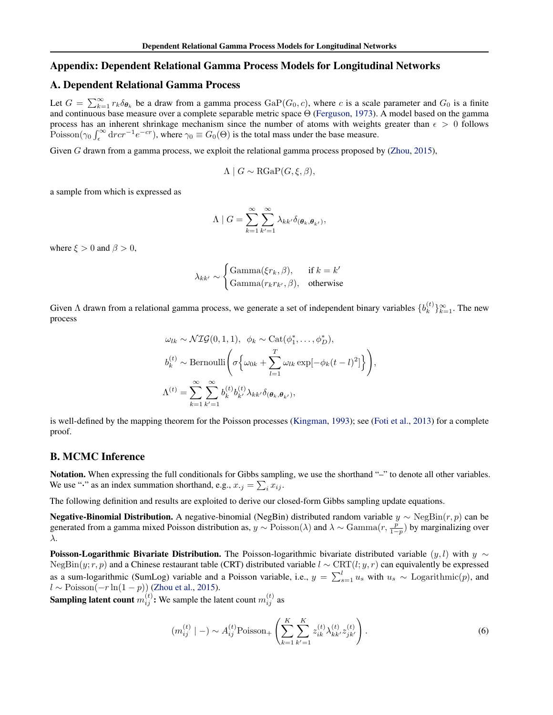#### <span id="page-0-0"></span>Appendix: Dependent Relational Gamma Process Models for Longitudinal Networks

#### A. Dependent Relational Gamma Process

Let  $G = \sum_{k=1}^{\infty} r_k \delta_{\theta_k}$  be a draw from a gamma process  $\text{GaP}(G_0, c)$ , where c is a scale parameter and  $G_0$  is a finite and continuous base measure over a complete separable metric space Θ (Ferguson, 1973). A model based on the gamma process has an inherent shrinkage mechanism since the number of atoms with weights greater than  $\epsilon > 0$  follows Poisson( $\gamma_0 \int_{\epsilon}^{\infty} dr cr^{-1} e^{-cr}$ ), where  $\gamma_0 \equiv G_0(\Theta)$  is the total mass under the base measure.

Given G drawn from a gamma process, we exploit the relational gamma process proposed by (Zhou, 2015),

$$
\Lambda \mid G \sim \text{RGaP}(G, \xi, \beta),
$$

a sample from which is expressed as

$$
\Lambda \mid G = \sum_{k=1}^{\infty} \sum_{k'=1}^{\infty} \lambda_{kk'} \delta_{(\theta_k, \theta_{k'})},
$$

where  $\xi > 0$  and  $\beta > 0$ ,

$$
\lambda_{kk'} \sim \begin{cases} \text{Gamma}(\xi r_k, \beta), & \text{if } k = k'\\ \text{Gamma}(r_k r_{k'}, \beta), & \text{otherwise} \end{cases}
$$

Given  $\Lambda$  drawn from a relational gamma process, we generate a set of independent binary variables  $\{b_k^{(t)}\}$  ${k \choose k}$  $\}_{k=1}^{\infty}$ . The new process

$$
\omega_{lk} \sim \mathcal{NIG}(0, 1, 1), \ \ \phi_k \sim \text{Cat}(\phi_1^*, \dots, \phi_D^*),
$$

$$
b_k^{(t)} \sim \text{Bernoulli}\left(\sigma \left\{\omega_{0k} + \sum_{l=1}^T \omega_{lk} \exp[-\phi_k(t-l)^2]\right\}\right),
$$

$$
\Lambda^{(t)} = \sum_{k=1}^\infty \sum_{k'=1}^\infty b_k^{(t)} b_{k'}^{(t)} \lambda_{kk'} \delta_{(\theta_k, \theta_{k'})},
$$

is well-defined by the mapping theorem for the Poisson processes (Kingman, 1993); see (Foti et al., 2013) for a complete proof.

## B. MCMC Inference

Notation. When expressing the full conditionals for Gibbs sampling, we use the shorthand "-" to denote all other variables. We use " $\cdot$ " as an index summation shorthand, e.g.,  $x_{\cdot j} = \sum_i x_{ij}$ .

The following definition and results are exploited to derive our closed-form Gibbs sampling update equations.

Negative-Binomial Distribution. A negative-binomial (NegBin) distributed random variable  $y \sim \text{NegBin}(r, p)$  can be generated from a gamma mixed Poisson distribution as,  $y \sim \text{Poisson}(\lambda)$  and  $\lambda \sim \text{Gamma}(r, \frac{p}{1-p})$  by marginalizing over λ.

**Poisson-Logarithmic Bivariate Distribution.** The Poisson-logarithmic bivariate distributed variable  $(y, l)$  with  $y \sim$ NegBin(y; r, p) and a Chinese restaurant table (CRT) distributed variable  $l \sim \text{CRT}(l; y, r)$  can equivalently be expressed as a sum-logarithmic (SumLog) variable and a Poisson variable, i.e.,  $y = \sum_{s=1}^{l} u_s$  with  $u_s \sim$  Logarithmic $(p)$ , and  $l \sim \text{Poisson}(-r \ln(1-p))$  (Zhou et al., 2015).

**Sampling latent count**  $m_{ij}^{(t)}$ : We sample the latent count  $m_{ij}^{(t)}$  as

$$
(m_{ij}^{(t)} \mid -) \sim A_{ij}^{(t)} \text{Poisson}_{+} \left( \sum_{k=1}^{K} \sum_{k'=1}^{K} z_{ik}^{(t)} \lambda_{kk'}^{(t)} z_{jk'}^{(t)} \right). \tag{6}
$$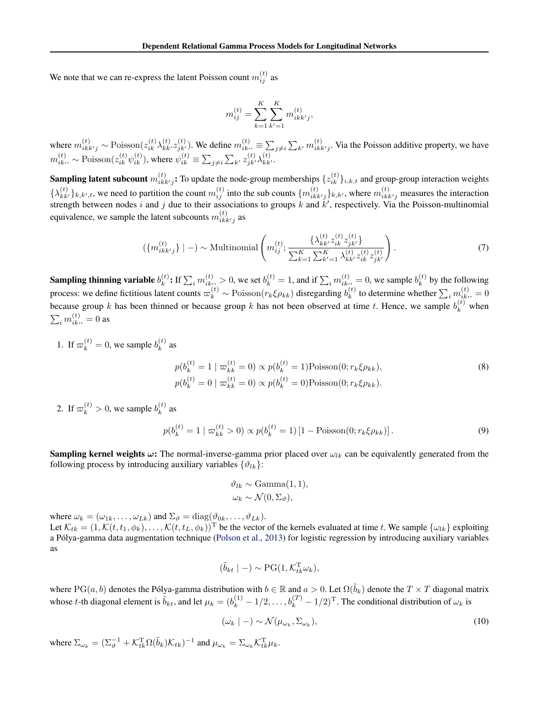<span id="page-1-0"></span>We note that we can re-express the latent Poisson count  $m_{ij}^{(t)}$  as

$$
m_{ij}^{(t)} = \sum_{k=1}^{K} \sum_{k'=1}^{K} m_{ikk'j}^{(t)},
$$

where  $m_{ikk'j}^{(t)} \sim \text{Poisson}(z_{ik}^{(t)} \lambda_{kk'}^{(t)} z_{jk'}^{(t)})$ . We define  $m_{ik}^{(t)} \equiv \sum_{j \neq i} \sum_{k'} m_{ikk'j}^{(t)}$ . Via the Poisson additive property, we have  $m_{ik}^{(t)}$ .  $\sim$  Poisson $(z_{ik}^{(t)} \psi_{ik}^{(t)})$ , where  $\psi_{ik}^{(t)} \equiv \sum_{j\neq i} \sum_{k'} z_{jk'}^{(t)} \lambda_{kk'}^{(t)}$ .

**Sampling latent subcount**  $m_{ikk'j}^{(t)}$ : To update the node-group memberships  $\{z_{ik}^{(t)}\}_{i,k,t}$  and group-group interaction weights  $\{\lambda_{kk'}^{(t)}\}_{k,k',t}$ , we need to partition the count  $m_{ij}^{(t)}$  into the sub counts  $\{m_{ikk'j}^{(t)}\}_{k,k'}$ , where  $m_{ikk'j}^{(t)}$  measures the interaction strength between nodes i and j due to their associations to groups k and  $k'$ , respectively. Via the Poisson-multinomial equivalence, we sample the latent subcounts  $m_{ikk'j}^{(t)}$  as

$$
\left(\{m_{ikk'j}^{(t)}\} \mid -\right) \sim \text{Multinomial}\left(m_{ij}^{(t)}; \frac{\{\lambda_{kk'}^{(t)} z_{ik}^{(t)} \}^{\{t\}}}{\sum_{k=1}^{K} \sum_{k'=1}^{K} \lambda_{kk'}^{(t)} z_{ik'}^{(t)} z_{jk'}^{(t)}}\right). \tag{7}
$$

Sampling thinning variable  $b_k^{(t)}$  $h_k^{(t)}$ : If  $\sum_i m_{ik}^{(t)} > 0$ , we set  $b_k^{(t)} = 1$ , and if  $\sum_i m_{ik}^{(t)} = 0$ , we sample  $b_k^{(t)}$  $k^{(t)}$  by the following process: we define fictitious latent counts  $\varpi_k^{(t)} \sim \text{Poisson}(r_k \xi \rho_{kk})$  disregarding  $b_k^{(t)}$  $\boldsymbol{h}_k^{(t)}$  to determine whether  $\sum_i m_{ik\cdot\cdot}^{(t)}=0$ because group k has been thinned or because group k has not been observed at time t. Hence, we sample  $b_k^{(t)}$  when  $\sum_i m_{ik\cdot\cdot}^{(t)}=0$  as

1. If  $\varpi_k^{(t)} = 0$ , we sample  $b_k^{(t)}$  $k^{(l)}$  as

$$
p(b_k^{(t)} = 1 \mid \varpi_{kk}^{(t)} = 0) \propto p(b_k^{(t)} = 1) \text{Poisson}(0; r_k \xi \rho_{kk}),
$$
  
\n
$$
p(b_k^{(t)} = 0 \mid \varpi_{kk}^{(t)} = 0) \propto p(b_k^{(t)} = 0) \text{Poisson}(0; r_k \xi \rho_{kk}).
$$
\n(8)

2. If  $\varpi_k^{(t)} > 0$ , we sample  $b_k^{(t)}$  $k^{(i)}$  as

$$
p(b_k^{(t)} = 1 \mid \varpi_{kk}^{(t)} > 0) \propto p(b_k^{(t)} = 1) \left[ 1 - \text{Poisson}(0; r_k \xi \rho_{kk}) \right].
$$
\n(9)

**Sampling kernel weights**  $\omega$ **:** The normal-inverse-gamma prior placed over  $\omega_{lk}$  can be equivalently generated from the following process by introducing auxiliary variables  $\{\vartheta_{lk}\}$ :

$$
\vartheta_{lk} \sim \text{Gamma}(1, 1),
$$
  

$$
\omega_k \sim \mathcal{N}(0, \Sigma_{\vartheta}),
$$

where  $\omega_k = (\omega_{1k}, \dots, \omega_{Lk})$  and  $\Sigma_{\vartheta} = \text{diag}(\vartheta_{0k}, \dots, \vartheta_{Lk})$ . Let  $\mathcal{K}_{tk} = (1, \mathcal{K}(t, t_1, \phi_k), \dots, \mathcal{K}(t, t_L, \phi_k))^{\mathrm{T}}$  be the vector of the kernels evaluated at time t. We sample  $\{\omega_{lk}\}$  exploiting a Pólya-gamma data augmentation technique (Polson et al., 2013) for logistic regression by introducing auxiliary variables as

$$
(\tilde{b}_{kt} \mid -) \sim \text{PG}(1, \mathcal{K}_{tk}^{\text{T}} \omega_k),
$$

where PG(a, b) denotes the Pólya-gamma distribution with  $b \in \mathbb{R}$  and  $a > 0$ . Let  $\Omega(\tilde{b}_k)$  denote the  $T \times T$  diagonal matrix whose *t*-th diagonal element is  $\tilde{b}_{kt}$ , and let  $\mu_k = (b_k^{(1)} - 1/2, \dots, b_k^{(T)} - 1/2)^T$ . The conditional distribution of  $\omega_k$  is

$$
(\omega_k \mid -) \sim \mathcal{N}(\mu_{\omega_k}, \Sigma_{\omega_k}), \tag{10}
$$

where  $\Sigma_{\omega_k} = (\Sigma_{\vartheta}^{-1} + \mathcal{K}_{tk}^{\mathrm{T}} \Omega(\tilde{b}_k) \mathcal{K}_{tk})^{-1}$  and  $\mu_{\omega_k} = \Sigma_{\omega_k} \mathcal{K}_{tk}^{\mathrm{T}} \mu_k$ .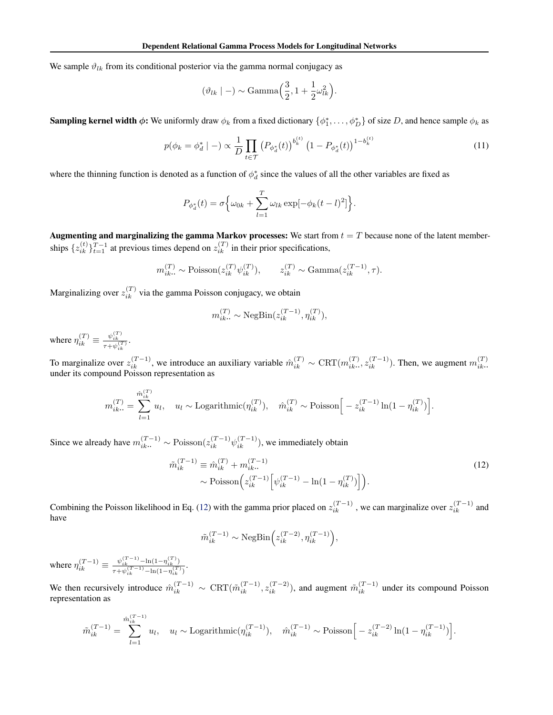<span id="page-2-0"></span>We sample  $\vartheta_{lk}$  from its conditional posterior via the gamma normal conjugacy as

$$
(\vartheta_{lk} \mid -) \sim \text{Gamma}\left(\frac{3}{2}, 1 + \frac{1}{2}\omega_{lk}^2\right).
$$

**Sampling kernel width**  $\phi$ **:** We uniformly draw  $\phi_k$  from a fixed dictionary  $\{\phi_1^*, \dots, \phi_D^*\}$  of size D, and hence sample  $\phi_k$  as

$$
p(\phi_k = \phi_d^* \mid -) \propto \frac{1}{D} \prod_{t \in \mathcal{T}} \left( P_{\phi_d^*}(t) \right)^{b_k^{(t)}} \left( 1 - P_{\phi_d^*}(t) \right)^{1 - b_k^{(t)}} \tag{11}
$$

where the thinning function is denoted as a function of  $\phi_d^*$  since the values of all the other variables are fixed as

$$
P_{\phi_d^*}(t) = \sigma \left\{ \omega_{0k} + \sum_{l=1}^T \omega_{lk} \exp[-\phi_k(t-l)^2] \right\}.
$$

Augmenting and marginalizing the gamma Markov processes: We start from  $t = T$  because none of the latent memberships  $\{z_{ik}^{(t)}\}_{t=1}^{T-1}$  at previous times depend on  $z_{ik}^{(T)}$  in their prior specifications,

$$
m_{ik}^{(T)} \sim \text{Poisson}(z_{ik}^{(T)} \psi_{ik}^{(T)}), \qquad z_{ik}^{(T)} \sim \text{Gamma}(z_{ik}^{(T-1)}, \tau).
$$

Marginalizing over  $z_{ik}^{(T)}$  via the gamma Poisson conjugacy, we obtain

$$
m_{ik\cdot\cdot}^{(T)}\sim \mathrm{NegBin}(z_{ik}^{(T-1)},\eta_{ik}^{(T)}),
$$

where  $\eta_{ik}^{(T)} \equiv \frac{\psi_{ik}^{(T)}}{\tau + \psi_{ik}^{(T)}}$ .

To marginalize over  $z_{ik}^{(T-1)}$ , we introduce an auxiliary variable  $\hat{m}_{ik}^{(T)} \sim \text{CRT}(m_{ik}^{(T)})$  $\hat{z}_{ik}^{(T)}$ ,  $z_{ik}^{(T-1)}$ ). Then, we augment  $m_{ik}^{(T)}$ .  $ik\cdot\cdot$ under its compound Poisson representation as

$$
m_{ik\cdot\cdot}^{(T)} = \sum_{l=1}^{\hat{m}_{ik\cdot}^{(T)}} u_l, \quad u_l \sim \text{Logarithmic}(\eta_{ik}^{(T)}), \quad \hat{m}_{ik}^{(T)} \sim \text{Poisson}\Big[-z_{ik}^{(T-1)}\ln(1-\eta_{ik}^{(T)})\Big].
$$

Since we already have  $m_{ik}^{(T-1)} \sim \text{Poisson}(z_{ik}^{(T-1)} \psi_{ik}^{(T-1)})$ , we immediately obtain

$$
\tilde{m}_{ik}^{(T-1)} \equiv \hat{m}_{ik}^{(T)} + m_{ik}^{(T-1)} \sim \text{Poisson}\Big(z_{ik}^{(T-1)} \Big[\psi_{ik}^{(T-1)} - \ln(1 - \eta_{ik}^{(T)})\Big]\Big).
$$
\n(12)

Combining the Poisson likelihood in Eq. (12) with the gamma prior placed on  $z_{ik}^{(T-1)}$ , we can marginalize over  $z_{ik}^{(T-1)}$  and have

$$
\tilde{m}_{ik}^{(T-1)} \sim \text{NegBin}\Big(z_{ik}^{(T-2)}, \eta_{ik}^{(T-1)}\Big),\,
$$

where  $\eta_{ik}^{(T-1)} \equiv \frac{\psi_{ik}^{(T-1)} - \ln(1-\eta_{ik}^{(T)})}{\tau + \psi_{ik}^{(T-1)} - \ln(1-\eta_{ik}^{(T)})}$  $\frac{\psi_{ik}}{\tau+\psi_{ik}^{(T-1)}-\ln(1-\eta_{ik}^{(T)})}$ 

We then recursively introduce  $\hat{m}_{ik}^{(T-1)} \sim \text{CRT}(\tilde{m}_{ik}^{(T-1)}, z_{ik}^{(T-2)})$ , and augment  $\tilde{m}_{ik}^{(T-1)}$  under its compound Poisson representation as

$$
\tilde{m}_{ik}^{(T-1)} = \sum_{l=1}^{\hat{m}_{ik}^{(T-1)}} u_l, \quad u_l \sim \text{Logarithmic}(\eta_{ik}^{(T-1)}), \quad \hat{m}_{ik}^{(T-1)} \sim \text{Poisson}\Big[-z_{ik}^{(T-2)}\ln(1-\eta_{ik}^{(T-1)})\Big].
$$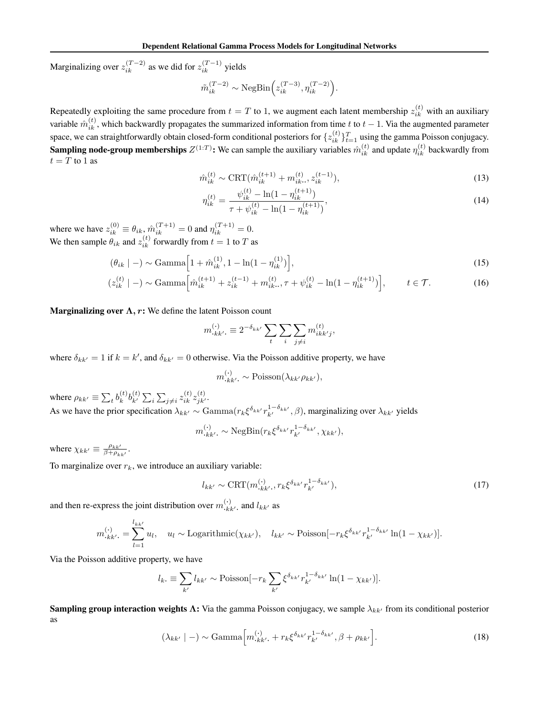<span id="page-3-0"></span>Marginalizing over  $z_{ik}^{(T-2)}$  as we did for  $z_{ik}^{(T-1)}$  yields

$$
\tilde{m}_{ik}^{(T-2)} \sim \text{NegBin}\Big(z_{ik}^{(T-3)}, \eta_{ik}^{(T-2)}\Big).
$$

Repeatedly exploiting the same procedure from  $t = T$  to 1, we augment each latent membership  $z_{ik}^{(t)}$  with an auxiliary variable  $\hat{m}_{ik}^{(t)}$ , which backwardly propagates the summarized information from time t to  $t-1$ . Via the augmented parameter space, we can straightforwardly obtain closed-form conditional posteriors for  $\{z_{ik}^{(t)}\}_{t=1}^T$  using the gamma Poisson conjugacy. **Sampling node-group memberships**  $Z^{(1:T)}$ : We can sample the auxiliary variables  $\hat{m}_{ik}^{(t)}$  and update  $\eta_{ik}^{(t)}$  backwardly from  $t = T$  to 1 as

$$
\hat{m}_{ik}^{(t)} \sim \text{CRT}(\hat{m}_{ik}^{(t+1)} + m_{ik}^{(t)}, z_{ik}^{(t-1)}),
$$
\n
$$
\hat{m}_{ik}^{(t)} \sim \text{CFT}(\hat{m}_{ik}^{(t+1)}, z_{ik}^{(t+1)}),
$$
\n(13)

$$
\eta_{ik}^{(t)} = \frac{\psi_{ik}^{(t)} - \ln(1 - \eta_{ik}^{(t+1)})}{\tau + \psi_{ik}^{(t)} - \ln(1 - \eta_{ik}^{(t+1)})},\tag{14}
$$

where we have  $z_{ik}^{(0)} \equiv \theta_{ik}, \hat{m}_{ik}^{(T+1)} = 0$  and  $\eta_{ik}^{(T+1)} = 0$ . We then sample  $\theta_{ik}$  and  $z_{ik}^{(t)}$  forwardly from  $t = 1$  to  $T$  as

$$
(\theta_{ik} \mid -) \sim \text{Gamma}\left[1 + \hat{m}_{ik}^{(1)}, 1 - \ln(1 - \eta_{ik}^{(1)})\right],\tag{15}
$$

$$
(z_{ik}^{(t)} \mid -) \sim \text{Gamma}\left[\hat{m}_{ik}^{(t+1)} + z_{ik}^{(t-1)} + m_{ik}^{(t)}, \tau + \psi_{ik}^{(t)} - \ln(1 - \eta_{ik}^{(t+1)})\right], \qquad t \in \mathcal{T}.
$$
 (16)

**Marginalizing over**  $\Lambda$ **, r:** We define the latent Poisson count

$$
m_{\cdot k k'}^{(\cdot)} \equiv 2^{-\delta_{k k'}} \sum_{t} \sum_{j \neq i} m_{i k k' j}^{(t)},
$$

where  $\delta_{kk'} = 1$  if  $k = k'$ , and  $\delta_{kk'} = 0$  otherwise. Via the Poisson additive property, we have

$$
m_{\cdot k k'}^{(\cdot)} \sim \text{Poisson}(\lambda_{k k'} \rho_{k k'}),
$$

where  $\rho_{kk'} \equiv \sum_t b_k^{(t)}$  ${}_{k}^{(t)}b_{k'}^{(t)}\sum_{i}\sum_{j\neq i}z_{ik}^{(t)}z_{jk'}^{(t)}.$ As we have the prior specification  $\lambda_{kk'} \sim \text{Gamma}(r_k \xi^{\delta_{kk'}} r_{k'}^{1-\delta_{kk'}}, \beta)$ , marginalizing over  $\lambda_{kk'}$  yields

$$
m_{\cdot k k'}^{(\cdot)} \sim \text{NegBin}(r_k \xi^{\delta_{kk'}} r_{k'}^{1-\delta_{kk'}}, \chi_{kk'}),
$$

where  $\chi_{kk'} \equiv \frac{\rho_{kk'}}{\beta + \rho_k}$  $\frac{\rho_{kk'}}{\beta+\rho_{kk'}}$ .

To marginalize over  $r_k$ , we introduce an auxiliary variable:

$$
l_{kk'} \sim \text{CRT}(m_{\cdot kk'}^{(\cdot)}, r_k \xi^{\delta_{kk'}} r_{k'}^{1-\delta_{kk'}}),\tag{17}
$$

and then re-express the joint distribution over  $m_{\cdot k k^{\prime}}^{(\cdot)}$  and  $l_{k k^{\prime}}$  as

$$
m_{\cdot k k'}^{(\cdot)} = \sum_{l=1}^{l_{kk'}} u_l, \quad u_l \sim \text{Logarithmic}(\chi_{kk'}), \quad l_{kk'} \sim \text{Poisson}[-r_k \xi^{\delta_{kk'}} r_{k'}^{1-\delta_{kk'}} \ln(1-\chi_{kk'})].
$$

Via the Poisson additive property, we have

$$
l_{k\cdot} \equiv \sum_{k'} l_{kk'} \sim \text{Poisson}[-r_k \sum_{k'} \xi^{\delta_{kk'}} r_{k'}^{1-\delta_{kk'}} \ln(1-\chi_{kk'})].
$$

Sampling group interaction weights  $\Lambda$ : Via the gamma Poisson conjugacy, we sample  $\lambda_{kk'}$  from its conditional posterior as

$$
(\lambda_{kk'} | -) \sim \text{Gamma}\left[m_{\cdot kk'}^{(\cdot)} + r_k \xi^{\delta_{kk'}} r_{k'}^{1-\delta_{kk'}}, \beta + \rho_{kk'}\right].
$$
\n(18)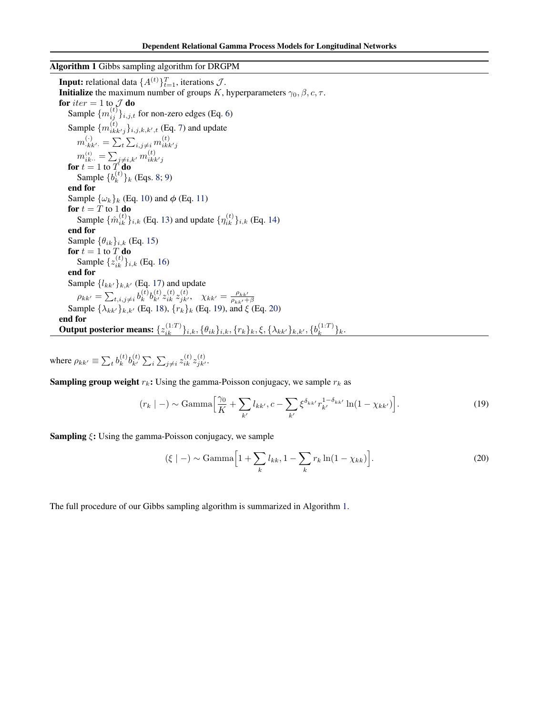#### Algorithm 1 Gibbs sampling algorithm for DRGPM

**Input:** relational data  $\{A^{(t)}\}_{t=1}^T$ , iterations  $\mathcal{J}$ . **Initialize** the maximum number of groups K, hyperparameters  $\gamma_0$ ,  $\beta$ ,  $c$ ,  $\tau$ . for  $iter = 1$  to  $J$  do Sample  $\{m_{ij}^{(t)}\}_{i,j,t}$  for non-zero edges (Eq. [6\)](#page-0-0) Sample  $\{m_{ikk'j}^{(t)}\}_{i,j,k,k',t}$  (Eq. [7\)](#page-1-0) and update  $m_{\cdot \mathit{kk}^\prime \cdot}^{(\cdot)} = \sum_{t} \sum_{i,j\neq i} m_{i \mathit{kk}^\prime j}^{(t)}$  $m_{ik\cdot\cdot}^{(t)} = \sum_{j\neq i,k'} m_{ikk'j}^{(t)}$ <br>for  $t = 1$  to T do Sample  $\{b_k^{(t)}\}$  ${k^{(t)}}_k$  (Eqs. [8;](#page-1-0) [9\)](#page-1-0) end for Sample  $\{\omega_k\}_k$  (Eq. [10\)](#page-1-0) and  $\phi$  (Eq. [11\)](#page-2-0) for  $t = T$  to 1 do Sample  $\{\hat{m}_{ik}^{(t)}\}_{i,k}$  (Eq. [13\)](#page-3-0) and update  $\{\eta_{ik}^{(t)}\}_{i,k}$  (Eq. [14\)](#page-3-0) end for Sample  $\{\theta_{ik}\}_{i,k}$  (Eq. [15\)](#page-3-0) for  $t = 1$  to  $T$  do Sample  $\{z_{ik}^{(t)}\}_{i,k}$  (Eq. [16\)](#page-3-0) end for Sample  $\{l_{kk'}\}_{k,k'}$  (Eq. [17\)](#page-3-0) and update  $\rho_{kk'} = \sum_{t,i,j\neq i} b_k^{(t)}$  ${}_{k}^{(t)}b_{k'}^{(t)}z_{ik}^{(t)}z_{jk'}^{(t)},\ \ \chi_{kk'}=\frac{\rho_{kk'}}{\rho_{kk'}+}$  $p_{kk'} = \sum_{t,i,j \neq i} o_k o_{k'} \, \lambda_{ik} \, \lambda_{jk'}, \quad \lambda_{kk'} = \rho_{kk'} + \beta$ <br>Sample  $\{\lambda_{kk'}\}_{k,k'}$  (Eq. [18\)](#page-3-0),  $\{r_k\}_k$  (Eq. 19), and  $\xi$  (Eq. 20) end for Output posterior means:  $\{z_{ik}^{(1:T)}\}_{i,k}, \{\theta_{ik}\}_{i,k}, \{r_k\}_k, \xi, \{\lambda_{kk'}\}_{k,k'}, \{b_k^{(1:T)}\}$  $\binom{1:1}{k}$ 

where  $\rho_{kk'} \equiv \sum_t b_k^{(t)}$  ${}^{(t)}_k b^{(t)}_k \sum_i \sum_{j\neq i} z^{(t)}_{ik} z^{(t)}_{jk'}.$ 

**Sampling group weight**  $r_k$ : Using the gamma-Poisson conjugacy, we sample  $r_k$  as

$$
(r_k \mid -) \sim \text{Gamma}\Big[\frac{\gamma_0}{K} + \sum_{k'} l_{kk'}, c - \sum_{k'} \xi^{\delta_{kk'}} r_{k'}^{1 - \delta_{kk'}} \ln(1 - \chi_{kk'})\Big].
$$
 (19)

**Sampling**  $\xi$ **:** Using the gamma-Poisson conjugacy, we sample

$$
(\xi \mid -) \sim \text{Gamma}\left[1 + \sum_{k} l_{kk}, 1 - \sum_{k} r_{k} \ln(1 - \chi_{kk})\right].
$$
 (20)

The full procedure of our Gibbs sampling algorithm is summarized in Algorithm 1.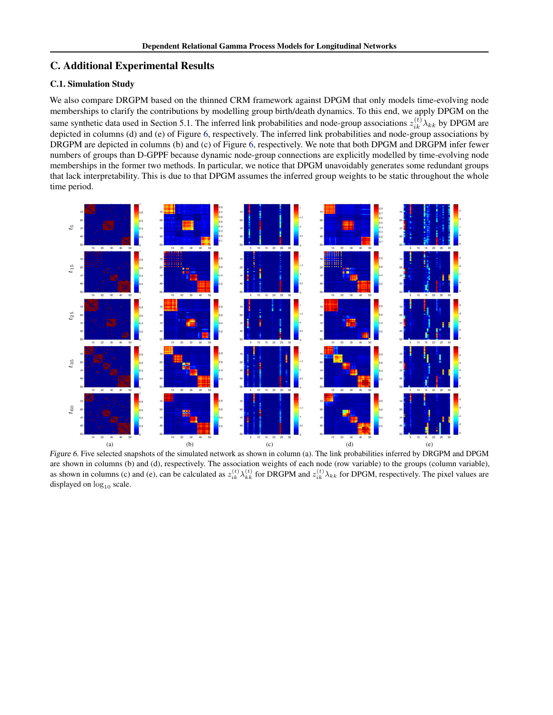# C. Additional Experimental Results

### C.1. Simulation Study

We also compare DRGPM based on the thinned CRM framework against DPGM that only models time-evolving node memberships to clarify the contributions by modelling group birth/death dynamics. To this end, we apply DPGM on the same synthetic data used in Section 5.1. The inferred link probabilities and node-group associations  $z_{ik}^{(t)}\lambda_{kk}$  by DPGM are depicted in columns (d) and (e) of Figure 6, respectively. The inferred link probabilities and node-group associations by DRGPM are depicted in columns (b) and (c) of Figure 6, respectively. We note that both DPGM and DRGPM infer fewer numbers of groups than D-GPPF because dynamic node-group connections are explicitly modelled by time-evolving node memberships in the former two methods. In particular, we notice that DPGM unavoidably generates some redundant groups that lack interpretability. This is due to that DPGM assumes the inferred group weights to be static throughout the whole time period.



Figure 6. Five selected snapshots of the simulated network as shown in column (a). The link probabilities inferred by DRGPM and DPGM are shown in columns (b) and (d), respectively. The association weights of each node (row variable) to the groups (column variable), as shown in columns (c) and (e), can be calculated as  $z_{ik}^{(t)} \lambda_{kk}^{(t)}$  for DRGPM and  $z_{ik}^{(t)} \lambda_{kk}$  for DPGM, respectively. The pixel values are displayed on  $log_{10}$  scale.